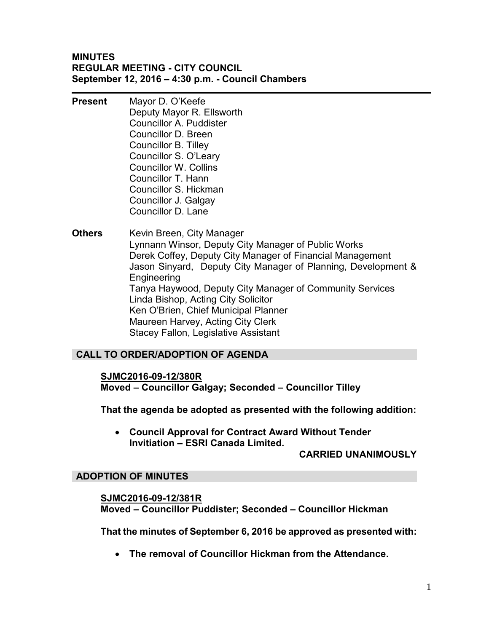## **MINUTES REGULAR MEETING - CITY COUNCIL September 12, 2016 – 4:30 p.m. - Council Chambers**

- **Present** Mayor D. O'Keefe Deputy Mayor R. Ellsworth Councillor A. Puddister Councillor D. Breen Councillor B. Tilley Councillor S. O'Leary Councillor W. Collins Councillor T. Hann Councillor S. Hickman Councillor J. Galgay Councillor D. Lane
- **Others** Kevin Breen, City Manager Lynnann Winsor, Deputy City Manager of Public Works Derek Coffey, Deputy City Manager of Financial Management Jason Sinyard, Deputy City Manager of Planning, Development & Engineering Tanya Haywood, Deputy City Manager of Community Services Linda Bishop, Acting City Solicitor Ken O'Brien, Chief Municipal Planner Maureen Harvey, Acting City Clerk Stacey Fallon, Legislative Assistant

# **CALL TO ORDER/ADOPTION OF AGENDA**

## **SJMC2016-09-12/380R**

**Moved – Councillor Galgay; Seconded – Councillor Tilley** 

**That the agenda be adopted as presented with the following addition:** 

 **Council Approval for Contract Award Without Tender Invitiation – ESRI Canada Limited.** 

## **CARRIED UNANIMOUSLY**

## **ADOPTION OF MINUTES**

**SJMC2016-09-12/381R Moved – Councillor Puddister; Seconded – Councillor Hickman** 

**That the minutes of September 6, 2016 be approved as presented with:** 

**The removal of Councillor Hickman from the Attendance.**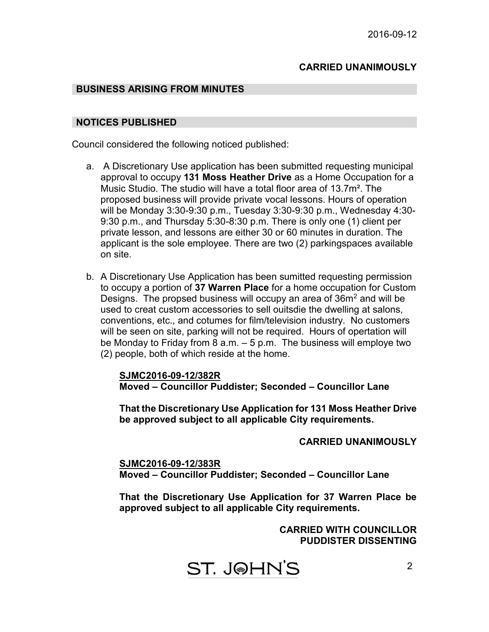## **CARRIED UNANIMOUSLY**

#### **BUSINESS ARISING FROM MINUTES**

#### **NOTICES PUBLISHED**

Council considered the following noticed published:

- a. A Discretionary Use application has been submitted requesting municipal approval to occupy **131 Moss Heather Drive** as a Home Occupation for a Music Studio. The studio will have a total floor area of 13.7m². The proposed business will provide private vocal lessons. Hours of operation will be Monday 3:30-9:30 p.m., Tuesday 3:30-9:30 p.m., Wednesday 4:30- 9:30 p.m., and Thursday 5:30-8:30 p.m. There is only one (1) client per private lesson, and lessons are either 30 or 60 minutes in duration. The applicant is the sole employee. There are two (2) parkingspaces available on site.
- b. A Discretionary Use Application has been sumitted requesting permission to occupy a portion of **37 Warren Place** for a home occupation for Custom Designs. The propsed business will occupy an area of  $36m<sup>2</sup>$  and will be used to creat custom accessories to sell ouitsdie the dwelling at salons, conventions, etc., and cotumes for film/television industry. No customers will be seen on site, parking will not be required. Hours of opertation will be Monday to Friday from 8 a.m. – 5 p.m. The business will employe two (2) people, both of which reside at the home.

**SJMC2016-09-12/382R Moved – Councillor Puddister; Seconded – Councillor Lane** 

**That the Discretionary Use Application for 131 Moss Heather Drive be approved subject to all applicable City requirements.**

**CARRIED UNANIMOUSLY** 

**SJMC2016-09-12/383R Moved – Councillor Puddister; Seconded – Councillor Lane** 

**That the Discretionary Use Application for 37 Warren Place be approved subject to all applicable City requirements.**

## **CARRIED WITH COUNCILLOR PUDDISTER DISSENTING**

ST. J@HN'S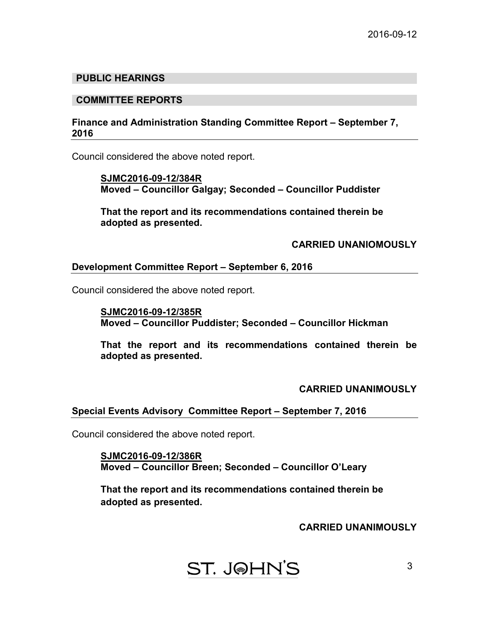## **PUBLIC HEARINGS**

#### **COMMITTEE REPORTS**

## **Finance and Administration Standing Committee Report – September 7, 2016**

Council considered the above noted report.

 **SJMC2016-09-12/384R Moved – Councillor Galgay; Seconded – Councillor Puddister** 

 **That the report and its recommendations contained therein be adopted as presented.** 

#### **CARRIED UNANIOMOUSLY**

#### **Development Committee Report – September 6, 2016**

Council considered the above noted report.

**SJMC2016-09-12/385R Moved – Councillor Puddister; Seconded – Councillor Hickman** 

**That the report and its recommendations contained therein be adopted as presented.** 

#### **CARRIED UNANIMOUSLY**

#### **Special Events Advisory Committee Report – September 7, 2016**

Council considered the above noted report.

 **SJMC2016-09-12/386R Moved – Councillor Breen; Seconded – Councillor O'Leary** 

 **That the report and its recommendations contained therein be adopted as presented.** 

**CARRIED UNANIMOUSLY**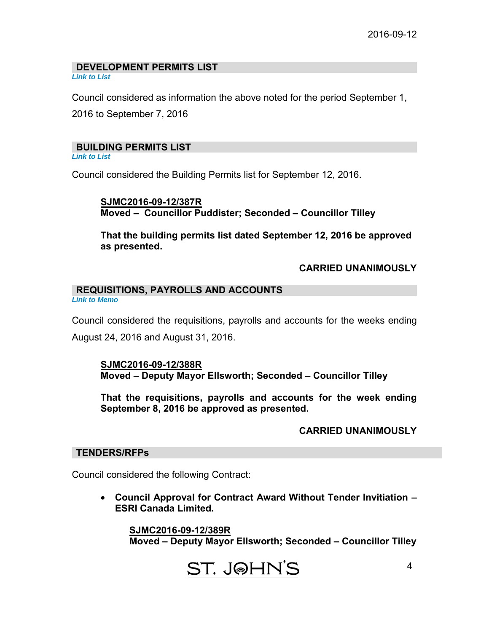#### **DEVELOPMENT PERMITS LIST**  *[Link to List](#page-6-0)*

Council considered as information the above noted for the period September 1, 2016 to September 7, 2016

## **BUILDING PERMITS LIST**

*[Link to List](#page-7-0)* 

Council considered the Building Permits list for September 12, 2016.

**SJMC2016-09-12/387R Moved – Councillor Puddister; Seconded – Councillor Tilley** 

**That the building permits list dated September 12, 2016 be approved as presented.** 

## **CARRIED UNANIMOUSLY**

#### **REQUISITIONS, PAYROLLS AND ACCOUNTS** *[Link to Memo](#page-10-0)*

Council considered the requisitions, payrolls and accounts for the weeks ending August 24, 2016 and August 31, 2016.

#### **SJMC2016-09-12/388R Moved – Deputy Mayor Ellsworth; Seconded – Councillor Tilley**

**That the requisitions, payrolls and accounts for the week ending September 8, 2016 be approved as presented.** 

## **CARRIED UNANIMOUSLY**

### **TENDERS/RFPs**

Council considered the following Contract:

 **Council Approval for Contract Award Without Tender Invitiation – ESRI Canada Limited.**

 **SJMC2016-09-12/389R Moved – Deputy Mayor Ellsworth; Seconded – Councillor Tilley**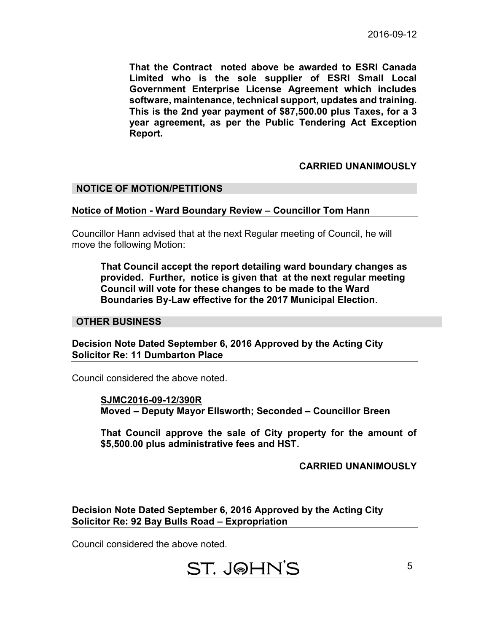**That the Contract noted above be awarded to ESRI Canada Limited who is the sole supplier of ESRI Small Local Government Enterprise License Agreement which includes software, maintenance, technical support, updates and training. This is the 2nd year payment of \$87,500.00 plus Taxes, for a 3 year agreement, as per the Public Tendering Act Exception Report.** 

## **CARRIED UNANIMOUSLY**

#### **NOTICE OF MOTION/PETITIONS**

#### **Notice of Motion - Ward Boundary Review – Councillor Tom Hann**

Councillor Hann advised that at the next Regular meeting of Council, he will move the following Motion:

**That Council accept the report detailing ward boundary changes as provided. Further, notice is given that at the next regular meeting Council will vote for these changes to be made to the Ward Boundaries By-Law effective for the 2017 Municipal Election**.

#### **OTHER BUSINESS**

**Decision Note Dated September 6, 2016 Approved by the Acting City Solicitor Re: 11 Dumbarton Place** 

Council considered the above noted.

**SJMC2016-09-12/390R Moved – Deputy Mayor Ellsworth; Seconded – Councillor Breen** 

**That Council approve the sale of City property for the amount of \$5,500.00 plus administrative fees and HST.**

 **CARRIED UNANIMOUSLY** 

**Decision Note Dated September 6, 2016 Approved by the Acting City Solicitor Re: 92 Bay Bulls Road – Expropriation** 

Council considered the above noted.

# ST. J@HN'S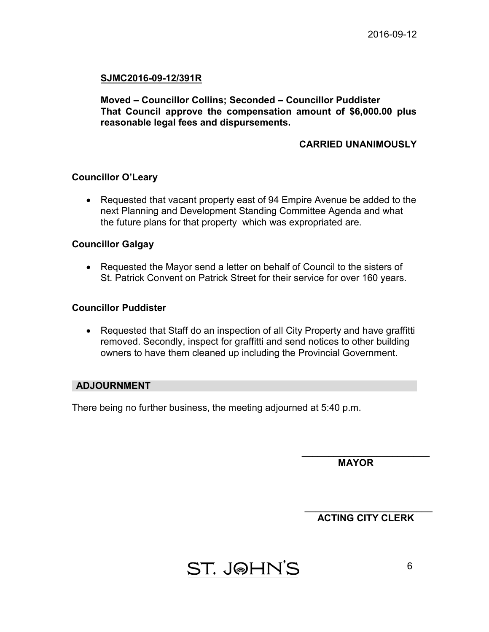## **SJMC2016-09-12/391R**

**Moved – Councillor Collins; Seconded – Councillor Puddister That Council approve the compensation amount of \$6,000.00 plus reasonable legal fees and dispursements.**

## **CARRIED UNANIMOUSLY**

#### **Councillor O'Leary**

• Requested that vacant property east of 94 Empire Avenue be added to the next Planning and Development Standing Committee Agenda and what the future plans for that property which was expropriated are.

#### **Councillor Galgay**

• Requested the Mayor send a letter on behalf of Council to the sisters of St. Patrick Convent on Patrick Street for their service for over 160 years.

## **Councillor Puddister**

• Requested that Staff do an inspection of all City Property and have graffitti removed. Secondly, inspect for graffitti and send notices to other building owners to have them cleaned up including the Provincial Government.

#### **ADJOURNMENT**

There being no further business, the meeting adjourned at 5:40 p.m.

 **MAYOR** 

 $\overline{\phantom{a}}$  , where  $\overline{\phantom{a}}$  , where  $\overline{\phantom{a}}$  , where  $\overline{\phantom{a}}$  , where  $\overline{\phantom{a}}$ 

\_\_\_\_\_\_\_\_\_\_\_\_\_\_\_\_\_\_\_\_\_\_\_\_  **ACTING CITY CLERK**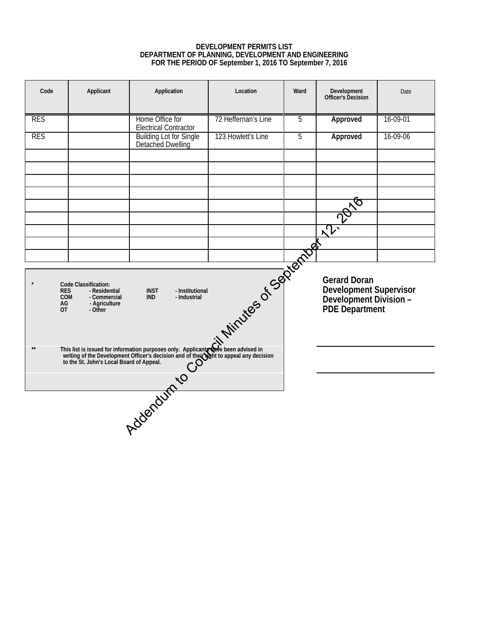#### **DEVELOPMENT PERMITS LIST DEPARTMENT OF PLANNING, DEVELOPMENT AND ENGINEERING FOR THE PERIOD OF September 1, 2016 TO September 7, 2016**

<span id="page-6-0"></span>

| Code                                                                                                                                                                                                                            | Applicant                                | Application                                                                                                                                                                                                     | Location            | Ward | Development<br>Officer's Decision                                                                       | Date     |  |
|---------------------------------------------------------------------------------------------------------------------------------------------------------------------------------------------------------------------------------|------------------------------------------|-----------------------------------------------------------------------------------------------------------------------------------------------------------------------------------------------------------------|---------------------|------|---------------------------------------------------------------------------------------------------------|----------|--|
| <b>RES</b>                                                                                                                                                                                                                      |                                          | Home Office for<br><b>Electrical Contractor</b>                                                                                                                                                                 | 72 Heffernan's Line | 5    | Approved                                                                                                | 16-09-01 |  |
| <b>RES</b>                                                                                                                                                                                                                      |                                          | <b>Building Lot for Single</b><br>Detached Dwelling                                                                                                                                                             | 123 Howlett's Line  | 5    | Approved                                                                                                | 16-09-06 |  |
|                                                                                                                                                                                                                                 |                                          |                                                                                                                                                                                                                 |                     |      |                                                                                                         |          |  |
|                                                                                                                                                                                                                                 |                                          |                                                                                                                                                                                                                 |                     |      |                                                                                                         |          |  |
|                                                                                                                                                                                                                                 |                                          |                                                                                                                                                                                                                 |                     |      | $\mathbb{P}^{\mathcal{\tilde{S}}^{\text{top}}}$                                                         |          |  |
|                                                                                                                                                                                                                                 |                                          |                                                                                                                                                                                                                 |                     |      |                                                                                                         |          |  |
|                                                                                                                                                                                                                                 |                                          |                                                                                                                                                                                                                 |                     |      |                                                                                                         |          |  |
| Externe d'Assemblance de la Compte<br>Code Classification:<br><b>INST</b><br>- Institutional<br><b>RES</b><br>- Residential<br><b>IND</b><br>- Industrial<br><b>COM</b><br>- Commercial<br>AG<br>- Agriculture<br>0T<br>- Other |                                          |                                                                                                                                                                                                                 |                     |      | <b>Gerard Doran</b><br><b>Development Supervisor</b><br>Development Division -<br><b>PDE Department</b> |          |  |
| $**$                                                                                                                                                                                                                            | to the St. John's Local Board of Appeal. | This list is issued for information purposes only. Applicant wave been advised in writing of the Development Officer's decision and of the Wight to appeal any decision to the St. John's Local Board of Anneal |                     |      |                                                                                                         |          |  |
|                                                                                                                                                                                                                                 |                                          | Addenturn to or their                                                                                                                                                                                           |                     |      |                                                                                                         |          |  |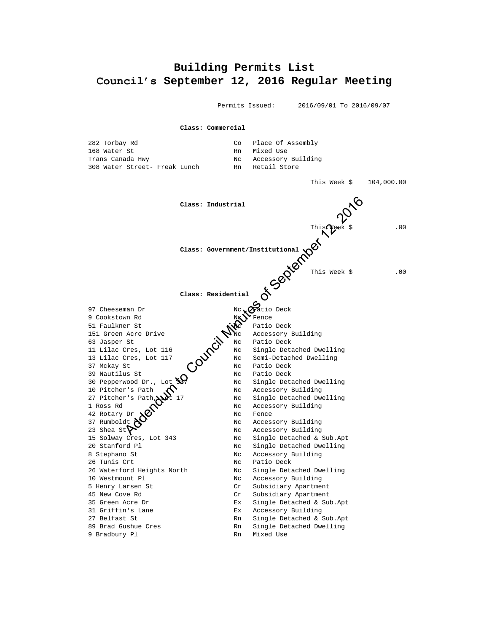# <span id="page-7-0"></span>**Building Permits List Council's September 12, 2016 Regular Meeting**

Permits Issued: 2016/09/01 To 2016/09/07

**Class: Commercial** 282 Torbay Rd Co Place Of Assembly 168 Water St Rn Mixed Use Trans Canada Hwy No Nc Accessory Building 308 Water Street- Freak Lunch Rn Retail Store This Week \$ 104,000.00 **Class: Industrial** This Week \$ .00 **Class: Government/Institutional** This Week \$ .00 **Class: Residential** 97 Cheeseman Dr  $Nc \sqrt{N}$ atio Deck 9 Cookstown Rd November 2016 51 Faulkner St New York 2015 Patio Deck 151 Green Acre Drive  $\mathcal{N}_{\text{NC}}$  Accessory Building 63 Jasper St  $\sim$  Nc Patio Deck 11 Lilac Cres, Lot 116 No Nc Single Detached Dwelling 13 Lilac Cres, Lot 117  $\lambda$  Nc Semi-Detached Dwelling 37 Mckay St  $\bigcap_{N \in \mathbb{N}}$  Nc Patio Deck Example 20 Note of the Single Detail of the Single Detail of the Single Detail of the Single Detail of the Single Deck Not Patio Deck Not Patio Deck Not Patio Deck Not Patio Deck Not Single Detail Detail Detail Details Det Nc Single Detached Dwelling 10 Pitcher's Path (1) Nc Accessory Building Nc Single Detached Dwelling 1 Ross Rd  $\sim$  Nc Accessory Building 42 Rotary Dr  $\mathbf{X}$   $\bullet$  Mc Fence Nc Accessory Building Nc Accessory Building 15 Solway Cres, Lot 343 Nc Single Detached & Sub.Apt 20 Stanford Pl Nc Single Detached Dwelling 8 Stephano St Nc Accessory Building 26 Tunis Crt Nc Patio Deck 26 Waterford Heights North Nc Single Detached Dwelling 10 Westmount Pl **No. 10 Westmount Pl** Nc Accessory Building 5 Henry Larsen St Cr Subsidiary Apartment 45 New Cove Rd Cr Subsidiary Apartment 35 Green Acre Dr Ex Single Detached & Sub.Apt 31 Griffin's Lane Ex Accessory Building 27 Belfast St  $\begin{array}{ccc} \text{Rn} & \text{Single Detailed & Sub.Ppt.} \end{array}$ 89 Brad Gushue Cres The Rn Single Detached Dwelling 9 Bradbury Pl Rn Mixed Use Class: Industrial Class: The Council Minutes of This Meek S<br>
Class: Government/Institutional COUNCIL This Week S<br>
Class: Residential COUNCIL This Week S<br>
Class: Residential COUNCIL This Week S<br>
This Week S<br>
Class: Residen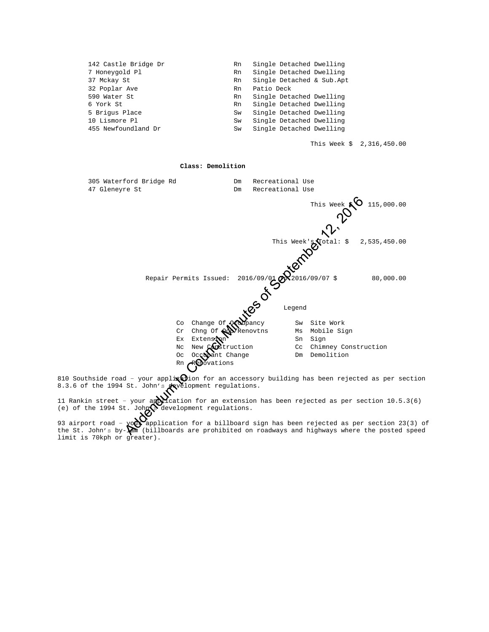| 142 Castle Bridge Dr | Rn | Single Detached Dwelling  |
|----------------------|----|---------------------------|
| 7 Honeygold Pl       | Rn | Single Detached Dwelling  |
| 37 Mckay St          | Rn | Single Detached & Sub.Apt |
| 32 Poplar Ave        | Rn | Patio Deck                |
| 590 Water St         | Rn | Single Detached Dwelling  |
| 6 York St            | Rn | Single Detached Dwelling  |
| 5 Brigus Place       | Sw | Single Detached Dwelling  |
| 10 Lismore Pl        | Sw | Single Detached Dwelling  |
| 455 Newfoundland Dr  | Sw | Single Detached Dwelling  |

This Week \$ 2,316,450.00



810 Southside road - your applix  $\Theta$ ion for an accessory building has been rejected as per section 8.3.6 of the 1994 St. John's development regulations.

11 Rankin street - your application for an extension has been rejected as per section  $10.5.3(6)$ (e) of the 1994 St. John $\mathbb S$  development regulations.

93 airport road -  $\gamma$ o $\alpha$  application for a billboard sign has been rejected as per section 23(3) of the St. John's by- $\mathbf{M}$  (billboards are prohibited on roadways and highways where the posted speed limit is 70kph or greater).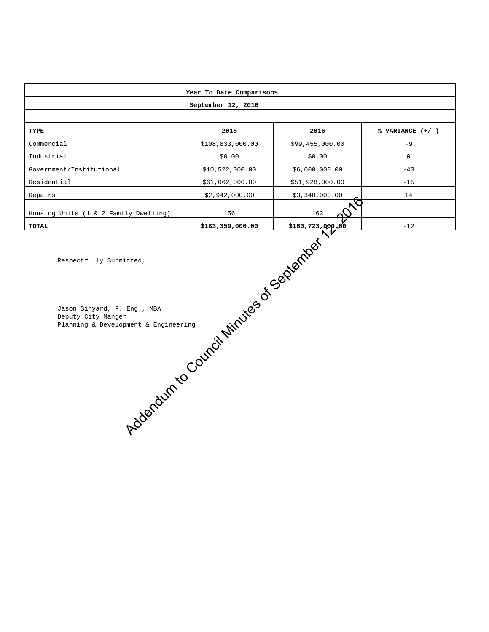|                                                                                                                                                                  | Year To Date Comparisons |                  |                    |  |  |  |  |  |
|------------------------------------------------------------------------------------------------------------------------------------------------------------------|--------------------------|------------------|--------------------|--|--|--|--|--|
| September 12, 2016                                                                                                                                               |                          |                  |                    |  |  |  |  |  |
|                                                                                                                                                                  |                          |                  |                    |  |  |  |  |  |
| TYPE                                                                                                                                                             | 2015                     | 2016             | % VARIANCE $(+/-)$ |  |  |  |  |  |
| Commercial                                                                                                                                                       | \$108,833,000.00         | \$99,455,000.00  | $-9$               |  |  |  |  |  |
| Industrial                                                                                                                                                       | \$0.00                   | \$0.00           | $\mathsf{O}$       |  |  |  |  |  |
| Government/Institutional                                                                                                                                         | \$10,522,000.00          | \$6,000,000.00   | $-43$              |  |  |  |  |  |
| Residential                                                                                                                                                      | \$61,062,000.00          | \$51,928,000.00  | $-15$              |  |  |  |  |  |
| Repairs                                                                                                                                                          | \$2,942,000.00           | \$3,340,000.00   | 14                 |  |  |  |  |  |
| Housing Units (1 & 2 Family Dwelling)                                                                                                                            | 156                      | LG<br>163        |                    |  |  |  |  |  |
| <b>TOTAL</b>                                                                                                                                                     | \$183,359,000.00         | \$160,723,000,00 | $-12$              |  |  |  |  |  |
| Addentum to Council Minutes of September<br>Respectfully Submitted,<br>Jason Sinyard, P. Eng., MBA<br>Deputy City Manger<br>Planning & Development & Engineering |                          |                  |                    |  |  |  |  |  |